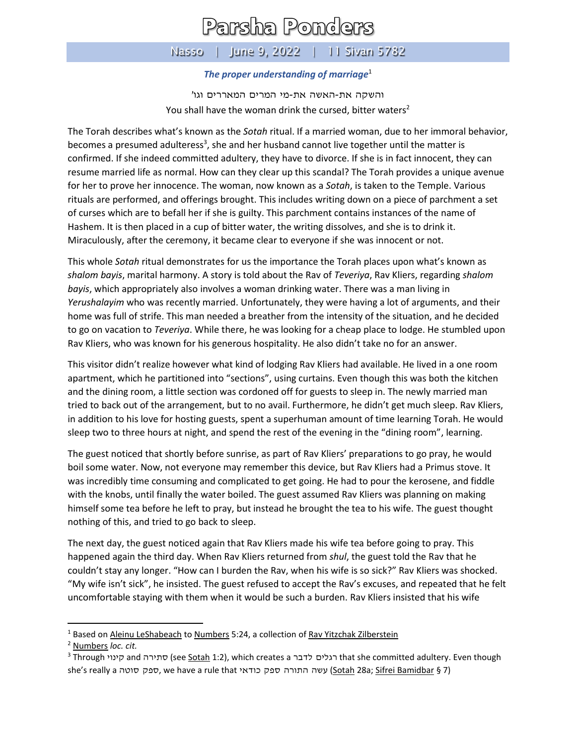## Parsha Ponders

## Nasso | June 9, 2022 | 11 Sivan 5782

## *The proper understanding of marriage*<sup>1</sup>

והשקה את- האשה את-מי המרים המאררים וגו' You shall have the woman drink the cursed, bitter waters<sup>2</sup>

The Torah describes what's known as the *Sotah* ritual. If a married woman, due to her immoral behavior, becomes a presumed adulteress<sup>3</sup>, she and her husband cannot live together until the matter is confirmed. If she indeed committed adultery, they have to divorce. If she is in fact innocent, they can resume married life as normal. How can they clear up this scandal? The Torah provides a unique avenue for her to prove her innocence. The woman, now known as a *Sotah*, is taken to the Temple. Various rituals are performed, and offerings brought. This includes writing down on a piece of parchment a set of curses which are to befall her if she is guilty. This parchment contains instances of the name of Hashem. It is then placed in a cup of bitter water, the writing dissolves, and she is to drink it. Miraculously, after the ceremony, it became clear to everyone if she was innocent or not.

This whole *Sotah* ritual demonstrates for us the importance the Torah places upon what's known as *shalom bayis*, marital harmony. A story is told about the Rav of *Teveriya*, Rav Kliers, regarding *shalom bayis*, which appropriately also involves a woman drinking water. There was a man living in *Yerushalayim* who was recently married. Unfortunately, they were having a lot of arguments, and their home was full of strife. This man needed a breather from the intensity of the situation, and he decided to go on vacation to *Teveriya*. While there, he was looking for a cheap place to lodge. He stumbled upon Rav Kliers, who was known for his generous hospitality. He also didn't take no for an answer.

This visitor didn't realize however what kind of lodging Rav Kliers had available. He lived in a one room apartment, which he partitioned into "sections", using curtains. Even though this was both the kitchen and the dining room, a little section was cordoned off for guests to sleep in. The newly married man tried to back out of the arrangement, but to no avail. Furthermore, he didn't get much sleep. Rav Kliers, in addition to his love for hosting guests, spent a superhuman amount of time learning Torah. He would sleep two to three hours at night, and spend the rest of the evening in the "dining room", learning.

The guest noticed that shortly before sunrise, as part of Rav Kliers' preparations to go pray, he would boil some water. Now, not everyone may remember this device, but Rav Kliers had a Primus stove. It was incredibly time consuming and complicated to get going. He had to pour the kerosene, and fiddle with the knobs, until finally the water boiled. The guest assumed Rav Kliers was planning on making himself some tea before he left to pray, but instead he brought the tea to his wife. The guest thought nothing of this, and tried to go back to sleep.

The next day, the guest noticed again that Rav Kliers made his wife tea before going to pray. This happened again the third day. When Rav Kliers returned from *shul*, the guest told the Rav that he couldn't stay any longer. "How can I burden the Rav, when his wife is so sick?" Rav Kliers was shocked. "My wife isn't sick", he insisted. The guest refused to accept the Rav's excuses, and repeated that he felt uncomfortable staying with them when it would be such a burden. Rav Kliers insisted that his wife

<sup>&</sup>lt;sup>1</sup> Based on Aleinu LeShabeach to Numbers 5:24, a collection of Rav Yitzchak Zilberstein

<sup>2</sup> Numbers *loc. cit.*

<sup>&</sup>lt;sup>3</sup> Through קינוי and קינוי (see <u>Sotah</u> 1:2), which creates a הלים לדבר that she committed adultery. Even though she's really a ספק סוטה, we have a rule that כודאי) (Sotah 28a; Sifrei Bamidbar § 7)